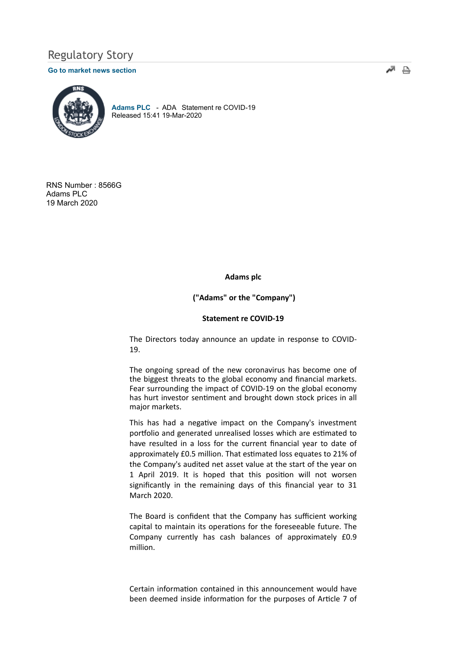# Regulatory Story

### Go to market news section



Adams PLC - ADA Statement re COVID-19 Released 15:41 19-Mar-2020

RNS Number : 8566G Adams PLC 19 March 2020

## Adams plc

("Adams" or the "Company")

#### Statement re COVID-19

The Directors today announce an update in response to COVID-19.

The ongoing spread of the new coronavirus has become one of the biggest threats to the global economy and financial markets. Fear surrounding the impact of COVID-19 on the global economy has hurt investor sentiment and brought down stock prices in all major markets.

This has had a negative impact on the Company's investment portfolio and generated unrealised losses which are estimated to have resulted in a loss for the current financial year to date of approximately £0.5 million. That estimated loss equates to 21% of the Company's audited net asset value at the start of the year on 1 April 2019. It is hoped that this position will not worsen significantly in the remaining days of this financial year to 31 March 2020.

The Board is confident that the Company has sufficient working capital to maintain its operations for the foreseeable future. The Company currently has cash balances of approximately £0.9 million.

Certain information contained in this announcement would have been deemed inside information for the purposes of Article 7 of ‴ ≞